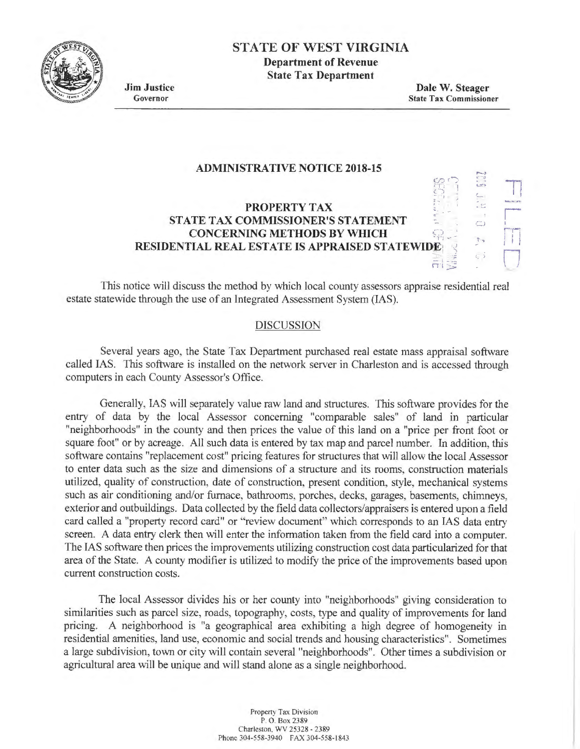

## **STATE OF WEST VIRGINIA**

**Department of Revenue State Tax Department** 

**Jim Justice**  Governor

**Dale W. Steager**  State Tax Commissioner

> ,....., ' ... ...<br>' ... ... ..

... **- . i**  '.,

сŝ

11

r *r-r-..*   $\left\vert \ \ \right\vert$  $\overline{\bigcup}$ 

 $-1.7$ 

### **ADMINISTRATIVE NOTICE 2018-15**

# **PROPERTY TAX STATE TAX COMMISSIONER'S STATEMENT CONCERNING METHODS BY WHICH RESIDENTIAL REAL ESTATE IS APPRAISED STATEWIDE,** <

This notice will discuss the method by which local county assessors appraise residential real estate statewide through the use of an Integrated Assessment System (IAS).

#### DISCUSSION

Several years ago, the State Tax Department purchased real estate mass appraisal software called IAS. This software is installed on the network server in Charleston and is accessed through computers in each County Assessor's Office.

Generally, IAS will separately value raw land and structures. This software provides for the entry of data by the local Assessor concerning "comparable sales" of land in particular "neighborhoods" in the county and then prices the value of this land on a "price per front foot or square foot" or by acreage. All such data is entered by tax map and parcel number. In addition, this software contains "replacement cost" pricing features for structures that will allow the local Assessor to enter data such as the size and dimensions of a structure and its rooms, construction materials utilized, quality of construction, date of construction, present condition, style, mechanical systems such as air conditioning and/or furnace, bathrooms, porches, decks, garages, basements, chimneys, exterior and outbuildings. Data collected by the field data collectors/appraisers is entered upon a field card called a "property record card" or "review document" which corresponds to an IAS data entry screen. A data entry clerk then will enter the information taken from the field card into a computer. The IAS software then prices the improvements utilizing construction cost data particularized for that area of the State. A county modifier is utilized to modify the price of the improvements based upon current construction costs.

The local Assessor divides his or her county into "neighborhoods" giving consideration to similarities such as parcel size, roads, topography, costs, type and quality of improvements for land pricing. A neighborhood is "a geographical area exhibiting a high degree of homogeneity in residential amenities, land use, economic and social trends and housing characteristics". Sometimes a large subdivision, town or city will contain several "neighborhoods". Other times a subdivision or agricultural area will be unique and will stand alone as a single neighborhood.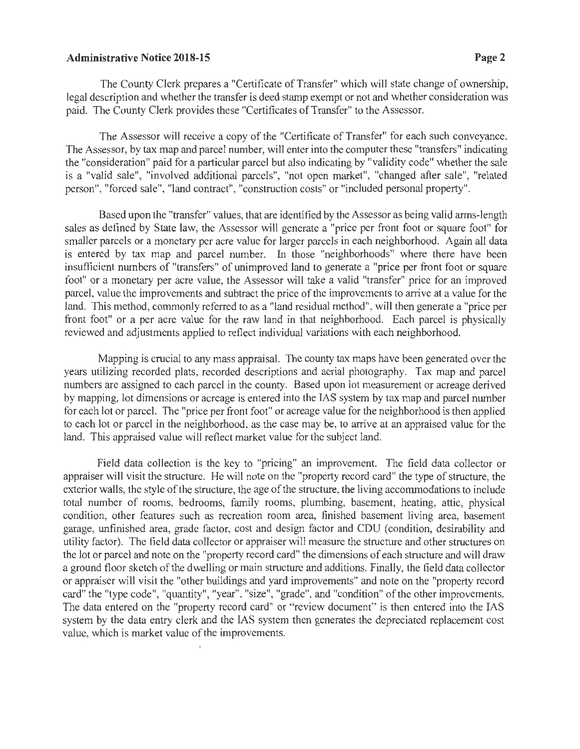### **Administrative Notice 2018-15 Page 2** Page 2

The County Clerk prepares a "Certificate of Transfer" which will state change of ownership, legal description and whether the transfer is deed stamp exempt or not and whether consideration was paid. The County Clerk provides these "Certificates of Transfer" to the Assessor.

The Assessor will receive a copy of the "Certificate of Transfer" for each such conveyance. The Assessor, by tax map and parcel number, will enter into the computer these "transfers" indicating the "consideration" paid for a particular parcel but also indicating by "validity code" whether the sale is a "valid sale", "involved additional parcels", "not open market", "changed after sale", "related person", "forced sale", "land contract", "construction costs" or "included personal property".

Based upon the "transfer" values, that are identified by the Assessor as being valid arms-length *sales* as defined by State law, the Assessor will generate a "price per front foot or square foot" for smaller parcels or a monetary per acre value for larger parcels in each neighborhood. Again all data is entered by tax map and parcel number. In those "neighborhoods" where there have been insufficient numbers of "transfers" of unimproved land to generate a "price per front foot or square foot" or a monetary per acre value, the Assessor will take a valid "transfer" price for an improved parcel, value the improvements and subtract the price of the improvements to arrive at a value for the land. This method, commonly referred to as a "land residual method", will then generate a "price per front foot" or a per acre value for the raw land in that neighborhood. Each parcel is physically reviewed and adjustments applied to reflect individual variations with each neighborhood.

Mapping is crucial to any mass appraisal. The county tax maps have been generated over the years utilizing recorded plats, recorded descriptions and aerial photography. Tax map and parcel numbers are assigned to each parcel in the county. Based upon lot measurement or acreage derived by mapping, lot dimensions or acreage is entered into the IAS system by tax map and parcel number for each Jot or parcel. The "price per front foot" or acreage value for the neighborhood is then applied to each lot or parcel in the neighborhood, as the case may be, to arrive at an appraised value for the land. This appraised value will reflect market value for the subject land.

Field data collection is the key to "pricing" an improvement. The field data collector or appraiser will visit the structure. He will note on the "property record card" the type of structure, the exterior walls, the style of the structure, the age of the structure, the living accommodations to include total number of rooms, bedrooms, family rooms, plumbing, basement, heating, attic, physical condition, other features such as recreation room area, finished basement living area, basement garage, unfinished area, grade factor, cost and design factor and CDU (condition, desirability and utility factor). The field data collector or appraiser will measure the structure and other structures on the lot or parcel and note on the "property record card" the dimensions of each structure and will draw a ground floor sketch of the dwelling or main structure and additions. Finally, the field data collector or appraiser will visit the "other buildings and yard improvements" and note on the "property record card" the "type code", "quantity", "year", "size", "grade", and "condition" of the other improvements. The data entered on the "property record card" or "review document" is then entered into the IAS system by the data entry clerk and the IAS system then generates the depreciated replacement cost value, which is market value of the improvements.